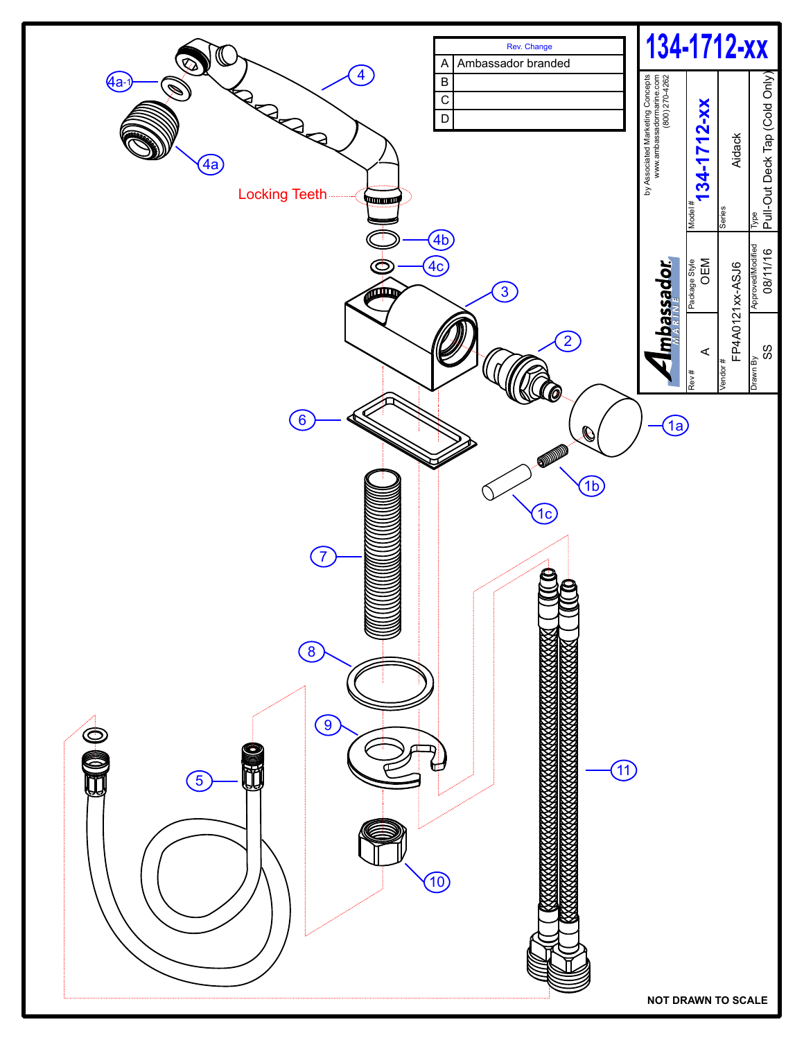